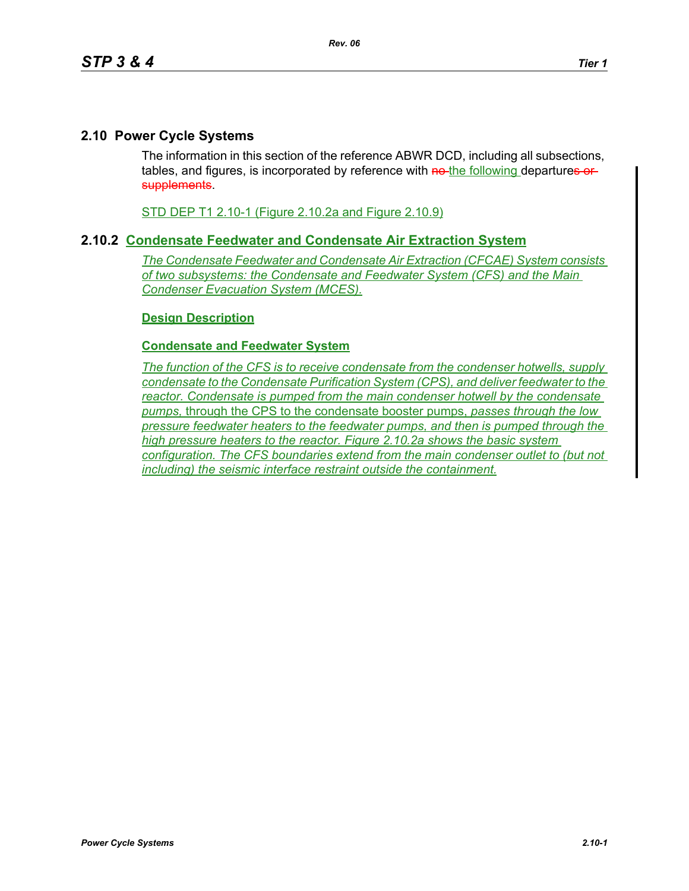## **2.10 Power Cycle Systems**

The information in this section of the reference ABWR DCD, including all subsections, tables, and figures, is incorporated by reference with no-the following departures or supplements.

STD DEP T1 2.10-1 (Figure 2.10.2a and Figure 2.10.9)

## **2.10.2 Condensate Feedwater and Condensate Air Extraction System**

*The Condensate Feedwater and Condensate Air Extraction (CFCAE) System consists of two subsystems: the Condensate and Feedwater System (CFS) and the Main Condenser Evacuation System (MCES).*

## **Design Description**

## **Condensate and Feedwater System**

*The function of the CFS is to receive condensate from the condenser hotwells, supply condensate to the Condensate Purification System (CPS), and deliver feedwater to the reactor. Condensate is pumped from the main condenser hotwell by the condensate pumps,* through the CPS to the condensate booster pumps, *passes through the low pressure feedwater heaters to the feedwater pumps, and then is pumped through the high pressure heaters to the reactor. Figure 2.10.2a shows the basic system configuration. The CFS boundaries extend from the main condenser outlet to (but not including) the seismic interface restraint outside the containment.*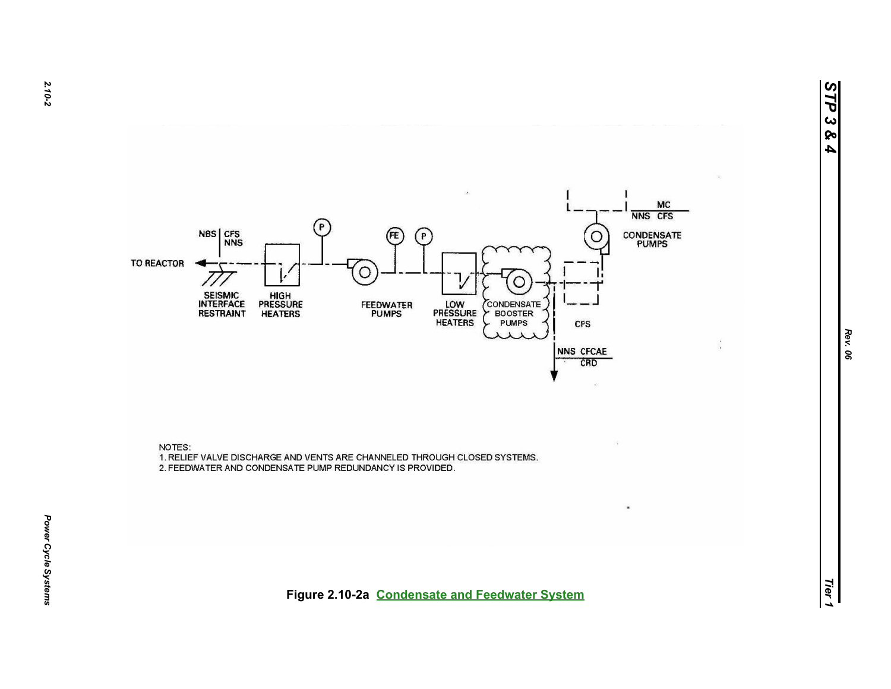





*Tier 1***Figure 2.10-2a Condensate and Feedwater System**